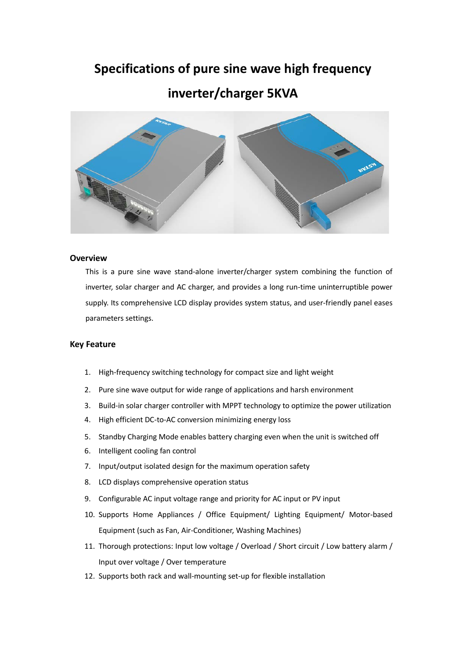### **Specifications of pure sine wave high frequency**

### **inverter/charger 5KVA**



#### **Overview**

This is a pure sine wave stand-alone inverter/charger system combining the function of inverter, solar charger and AC charger, and provides a long run-time uninterruptible power supply. Its comprehensive LCD display provides system status, and user-friendly panel eases parameters settings.

#### **Key Feature**

- 1. High-frequency switching technology for compact size and light weight
- 2. Pure sine wave output for wide range of applications and harsh environment
- 3. Build-in solar charger controller with MPPT technology to optimize the power utilization
- 4. High efficient DC-to-AC conversion minimizing energy loss
- 5. Standby Charging Mode enables battery charging even when the unit is switched off
- 6. Intelligent cooling fan control
- 7. Input/output isolated design for the maximum operation safety
- 8. LCD displays comprehensive operation status
- 9. Configurable AC input voltage range and priority for AC input or PV input
- 10. Supports Home Appliances / Office Equipment/ Lighting Equipment/ Motor-based Equipment (such as Fan, Air-Conditioner, Washing Machines)
- 11. Thorough protections: Input low voltage / Overload / Short circuit / Low battery alarm / Input over voltage / Over temperature
- 12. Supports both rack and wall-mounting set-up for flexible installation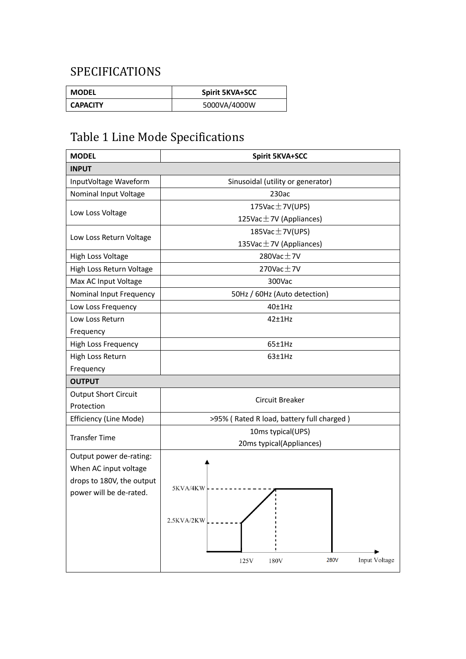## SPECIFICATIONS

| <b>MODEL</b>    | <b>Spirit 5KVA+SCC</b> |
|-----------------|------------------------|
| <b>CAPACITY</b> | 5000VA/4000W           |

# Table 1 Line Mode Specifications

| <b>MODEL</b>                | <b>Spirit 5KVA+SCC</b>                    |  |  |
|-----------------------------|-------------------------------------------|--|--|
| <b>INPUT</b>                |                                           |  |  |
| InputVoltage Waveform       | Sinusoidal (utility or generator)         |  |  |
| Nominal Input Voltage       | 230ac                                     |  |  |
|                             | 175Vac $\pm$ 7V(UPS)                      |  |  |
| Low Loss Voltage            | 125Vac $\pm$ 7V (Appliances)              |  |  |
| Low Loss Return Voltage     | 185Vac $\pm$ 7V(UPS)                      |  |  |
|                             | 135Vac $\pm$ 7V (Appliances)              |  |  |
| High Loss Voltage           | $280$ Vac $\pm$ 7V                        |  |  |
| High Loss Return Voltage    | $270$ Vac $\pm$ 7V                        |  |  |
| Max AC Input Voltage        | 300Vac                                    |  |  |
| Nominal Input Frequency     | 50Hz / 60Hz (Auto detection)              |  |  |
| Low Loss Frequency          | 40±1Hz                                    |  |  |
| Low Loss Return             | 42±1Hz                                    |  |  |
| Frequency                   |                                           |  |  |
| <b>High Loss Frequency</b>  | 65±1Hz                                    |  |  |
| High Loss Return            | $63+1Hz$                                  |  |  |
| Frequency                   |                                           |  |  |
| <b>OUTPUT</b>               |                                           |  |  |
| <b>Output Short Circuit</b> | Circuit Breaker                           |  |  |
| Protection                  |                                           |  |  |
| Efficiency (Line Mode)      | >95% (Rated R load, battery full charged) |  |  |
| <b>Transfer Time</b>        | 10ms typical(UPS)                         |  |  |
|                             | 20ms typical(Appliances)                  |  |  |
| Output power de-rating:     |                                           |  |  |
| When AC input voltage       |                                           |  |  |
| drops to 180V, the output   | 5KVA/4KW                                  |  |  |
| power will be de-rated.     |                                           |  |  |
|                             |                                           |  |  |
|                             | 2.5KVA/2KW                                |  |  |
|                             |                                           |  |  |
|                             |                                           |  |  |
|                             | Input Voltage<br>280V<br>125V<br>180V     |  |  |
|                             |                                           |  |  |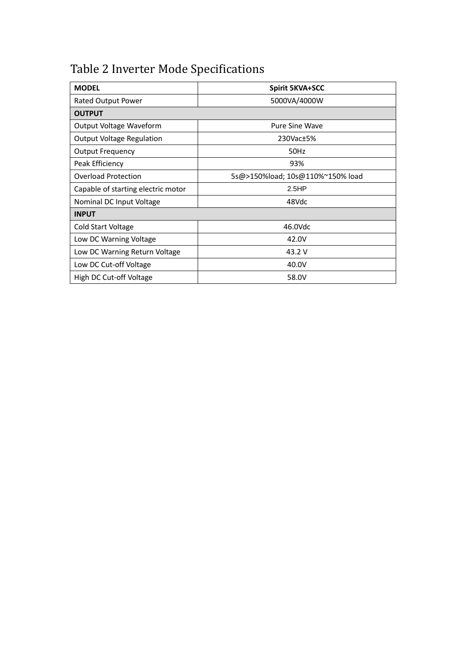## Table 2 Inverter Mode Specifications

| <b>MODEL</b>                       | <b>Spirit 5KVA+SCC</b>           |  |  |
|------------------------------------|----------------------------------|--|--|
| Rated Output Power                 | 5000VA/4000W                     |  |  |
| <b>OUTPUT</b>                      |                                  |  |  |
| Output Voltage Waveform            | <b>Pure Sine Wave</b>            |  |  |
| <b>Output Voltage Regulation</b>   | 230Vac <sub>±5</sub> %           |  |  |
| <b>Output Frequency</b>            | 50Hz                             |  |  |
| Peak Efficiency                    | 93%                              |  |  |
| <b>Overload Protection</b>         | 5s@>150%load; 10s@110%~150% load |  |  |
| Capable of starting electric motor | 2.5HP                            |  |  |
| Nominal DC Input Voltage           | 48Vdc                            |  |  |
| <b>INPUT</b>                       |                                  |  |  |
| Cold Start Voltage                 | 46.0Vdc                          |  |  |
| Low DC Warning Voltage             | 42.0V                            |  |  |
| Low DC Warning Return Voltage      | 43.2 V                           |  |  |
| Low DC Cut-off Voltage             | 40.0V                            |  |  |
| High DC Cut-off Voltage            | 58.0V                            |  |  |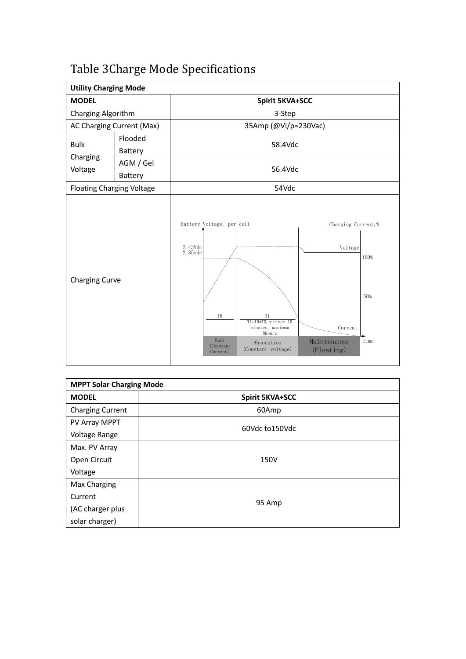| <b>Utility Charging Mode</b>       |                           |                                                                                                      |                                                                                                   |                                                                        |                     |
|------------------------------------|---------------------------|------------------------------------------------------------------------------------------------------|---------------------------------------------------------------------------------------------------|------------------------------------------------------------------------|---------------------|
| <b>MODEL</b>                       |                           |                                                                                                      | <b>Spirit 5KVA+SCC</b>                                                                            |                                                                        |                     |
| Charging Algorithm                 |                           |                                                                                                      | 3-Step                                                                                            |                                                                        |                     |
|                                    | AC Charging Current (Max) |                                                                                                      | 35Amp (@Vi/p=230Vac)                                                                              |                                                                        |                     |
| <b>Bulk</b><br>Charging<br>Voltage | Flooded<br>Battery        | 58.4Vdc                                                                                              |                                                                                                   |                                                                        |                     |
|                                    | AGM / Gel<br>Battery      | 56.4Vdc                                                                                              |                                                                                                   |                                                                        |                     |
| <b>Floating Charging Voltage</b>   |                           |                                                                                                      | 54Vdc                                                                                             |                                                                        |                     |
| Charging Curve                     |                           | Battery Voltage, per cell<br>2. 43Vdc<br>2. 35vdc<br>T <sub>0</sub><br>Bulk<br>(Constant<br>Current) | T1<br>$T1=10*T0$ , minimum $10$<br>minutes, maximum<br>8hours<br>Absorption<br>(Constant voltage) | Charging Current, %<br>Voltage<br>Current<br>Maintenance<br>(Floating) | 100%<br>50%<br>Time |

# Table 3Charge Mode Specifications

| <b>MPPT Solar Charging Mode</b> |                        |  |
|---------------------------------|------------------------|--|
| <b>MODEL</b>                    | <b>Spirit 5KVA+SCC</b> |  |
| <b>Charging Current</b>         | 60Amp                  |  |
| PV Array MPPT                   | 60Vdc to150Vdc         |  |
| Voltage Range                   |                        |  |
| Max. PV Array                   |                        |  |
| Open Circuit                    | 150V                   |  |
| Voltage                         |                        |  |
| Max Charging                    |                        |  |
| Current                         |                        |  |
| (AC charger plus                | 95 Amp                 |  |
| solar charger)                  |                        |  |